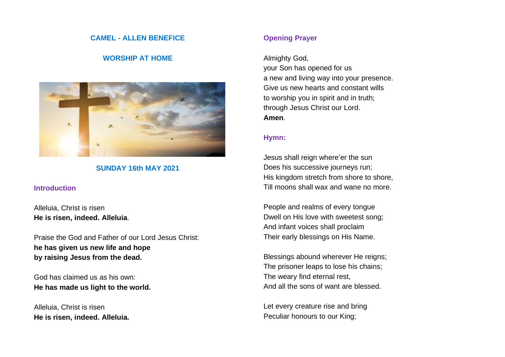### **CAMEL - ALLEN BENEFICE**

# **WORSHIP AT HOME**



### **SUNDAY 16th MAY 2021**

#### **Introduction**

Alleluia, Christ is risen **He is risen, indeed. Alleluia**.

Praise the God and Father of our Lord Jesus Christ: **he has given us new life and hope by raising Jesus from the dead.**

God has claimed us as his own: **He has made us light to the world.**

Alleluia, Christ is risen **He is risen, indeed. Alleluia.**

# **Opening Prayer**

Almighty God,

your Son has opened for us a new and living way into your presence. Give us new hearts and constant wills to worship you in spirit and in truth; through Jesus Christ our Lord. **Amen**.

### **Hymn:**

Jesus shall reign where'er the sun Does his successive journeys run; His kingdom stretch from shore to shore, Till moons shall wax and wane no more.

People and realms of every tongue Dwell on His love with sweetest song; And infant voices shall proclaim Their early blessings on His Name.

Blessings abound wherever He reigns; The prisoner leaps to lose his chains; The weary find eternal rest, And all the sons of want are blessed.

Let every creature rise and bring Peculiar honours to our King;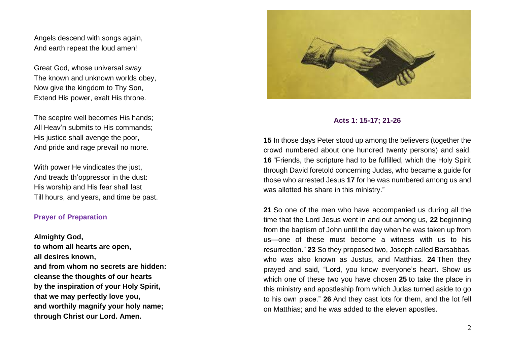Angels descend with songs again, And earth repeat the loud amen!

Great God, whose universal sway The known and unknown worlds obey, Now give the kingdom to Thy Son, Extend His power, exalt His throne.

The sceptre well becomes His hands; All Heav'n submits to His commands; His justice shall avenge the poor, And pride and rage prevail no more.

With power He vindicates the just, And treads th'oppressor in the dust: His worship and His fear shall last Till hours, and years, and time be past.

### **Prayer of Preparation**

**Almighty God,**

**to whom all hearts are open, all desires known, and from whom no secrets are hidden: cleanse the thoughts of our hearts by the inspiration of your Holy Spirit, that we may perfectly love you, and worthily magnify your holy name; through Christ our Lord. Amen.**



### **Acts 1: 15-17; 21-26**

**15** In those days Peter stood up among the believers (together the crowd numbered about one hundred twenty persons) and said, **16** "Friends, the scripture had to be fulfilled, which the Holy Spirit through David foretold concerning Judas, who became a guide for those who arrested Jesus **17** for he was numbered among us and was allotted his share in this ministry."

**21** So one of the men who have accompanied us during all the time that the Lord Jesus went in and out among us, **22** beginning from the baptism of John until the day when he was taken up from us—one of these must become a witness with us to his resurrection." **23** So they proposed two, Joseph called Barsabbas, who was also known as Justus, and Matthias. **24** Then they prayed and said, "Lord, you know everyone's heart. Show us which one of these two you have chosen **25** to take the place in this ministry and apostleship from which Judas turned aside to go to his own place." **26** And they cast lots for them, and the lot fell on Matthias; and he was added to the eleven apostles.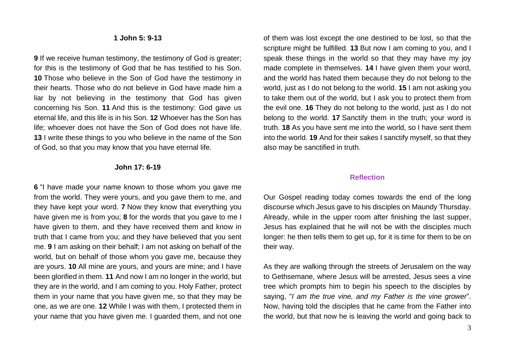#### **1 John 5: 9-13**

**9** If we receive human testimony, the testimony of God is greater; for this is the testimony of God that he has testified to his Son. **10** Those who believe in the Son of God have the testimony in their hearts. Those who do not believe in God have made him a liar by not believing in the testimony that God has given concerning his Son. **11** And this is the testimony: God gave us eternal life, and this life is in his Son. **12** Whoever has the Son has life; whoever does not have the Son of God does not have life. **13** I write these things to you who believe in the name of the Son of God, so that you may know that you have eternal life.

#### **John 17: 6-19**

**6** "I have made your name known to those whom you gave me from the world. They were yours, and you gave them to me, and they have kept your word. **7** Now they know that everything you have given me is from you; **8** for the words that you gave to me I have given to them, and they have received them and know in truth that I came from you; and they have believed that you sent me. **9** I am asking on their behalf; I am not asking on behalf of the world, but on behalf of those whom you gave me, because they are yours. **10** All mine are yours, and yours are mine; and I have been glorified in them. **11** And now I am no longer in the world, but they are in the world, and I am coming to you. Holy Father, protect them in your name that you have given me, so that they may be one, as we are one. **12** While I was with them, I protected them in your name that you have given me. I guarded them, and not one of them was lost except the one destined to be lost, so that the scripture might be fulfilled. **13** But now I am coming to you, and I speak these things in the world so that they may have my joy made complete in themselves. **14** I have given them your word, and the world has hated them because they do not belong to the world, just as I do not belong to the world. **15** I am not asking you to take them out of the world, but I ask you to protect them from the evil one. **16** They do not belong to the world, just as I do not belong to the world. **17** Sanctify them in the truth; your word is truth. **18** As you have sent me into the world, so I have sent them into the world. **19** And for their sakes I sanctify myself, so that they also may be sanctified in truth.

#### **Reflection**

Our Gospel reading today comes towards the end of the long discourse which Jesus gave to his disciples on Maundy Thursday. Already, while in the upper room after finishing the last supper, Jesus has explained that he will not be with the disciples much longer: he then tells them to get up, for it is time for them to be on their way.

As they are walking through the streets of Jerusalem on the way to Gethsemane, where Jesus will be arrested, Jesus sees a vine tree which prompts him to begin his speech to the disciples by saying, "*I am the true vine, and my Father is the vine grower*". Now, having told the disciples that he came from the Father into the world, but that now he is leaving the world and going back to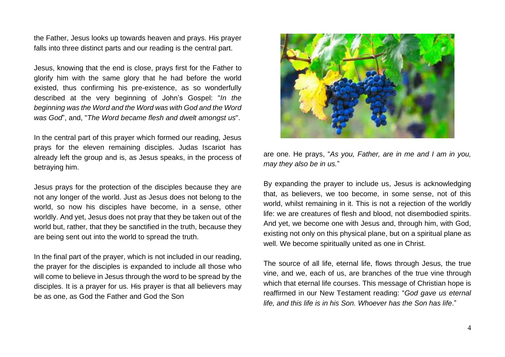the Father, Jesus looks up towards heaven and prays. His prayer falls into three distinct parts and our reading is the central part.

Jesus, knowing that the end is close, prays first for the Father to glorify him with the same glory that he had before the world existed, thus confirming his pre-existence, as so wonderfully described at the very beginning of John's Gospel: "*In the beginning was the Word and the Word was with God and the Word was God*", and, "*The Word became flesh and dwelt amongst us*".

In the central part of this prayer which formed our reading, Jesus prays for the eleven remaining disciples. Judas Iscariot has already left the group and is, as Jesus speaks, in the process of betraying him.

Jesus prays for the protection of the disciples because they are not any longer of the world. Just as Jesus does not belong to the world, so now his disciples have become, in a sense, other worldly. And yet, Jesus does not pray that they be taken out of the world but, rather, that they be sanctified in the truth, because they are being sent out into the world to spread the truth.

In the final part of the prayer, which is not included in our reading, the prayer for the disciples is expanded to include all those who will come to believe in Jesus through the word to be spread by the disciples. It is a prayer for us. His prayer is that all believers may be as one, as God the Father and God the Son



are one. He prays, "*As you, Father, are in me and I am in you, may they also be in us.*"

By expanding the prayer to include us, Jesus is acknowledging that, as believers, we too become, in some sense, not of this world, whilst remaining in it. This is not a rejection of the worldly life: we are creatures of flesh and blood, not disembodied spirits. And yet, we become one with Jesus and, through him, with God, existing not only on this physical plane, but on a spiritual plane as well. We become spiritually united as one in Christ.

The source of all life, eternal life, flows through Jesus, the true vine, and we, each of us, are branches of the true vine through which that eternal life courses. This message of Christian hope is reaffirmed in our New Testament reading: "*God gave us eternal life, and this life is in his Son. Whoever has the Son has life*."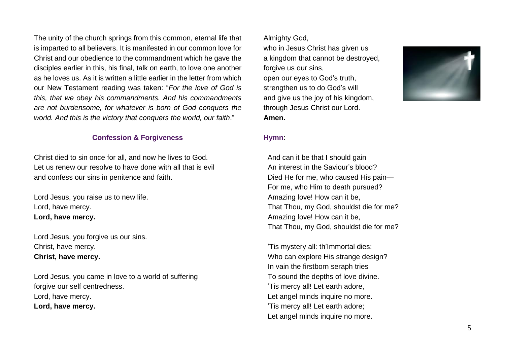The unity of the church springs from this common, eternal life that is imparted to all believers. It is manifested in our common love for Christ and our obedience to the commandment which he gave the disciples earlier in this, his final, talk on earth, to love one another as he loves us. As it is written a little earlier in the letter from which our New Testament reading was taken: "*For the love of God is this, that we obey his commandments. And his commandments are not burdensome, for whatever is born of God conquers the world. And this is the victory that conquers the world, our faith*."

# **Confession & Forgiveness**

Christ died to sin once for all, and now he lives to God. Let us renew our resolve to have done with all that is evil and confess our sins in penitence and faith.

Lord Jesus, you raise us to new life. Lord, have mercy. **Lord, have mercy.**

Lord Jesus, you forgive us our sins. Christ, have mercy. **Christ, have mercy.**

Lord Jesus, you came in love to a world of suffering forgive our self centredness. Lord, have mercy. **Lord, have mercy.**

Almighty God,

who in Jesus Christ has given us a kingdom that cannot be destroyed, forgive us our sins, open our eyes to God's truth, strengthen us to do God's will and give us the joy of his kingdom, through Jesus Christ our Lord. **Amen.**



### **Hymn**:

 And can it be that I should gain An interest in the Saviour's blood? Died He for me, who caused His pain— For me, who Him to death pursued? Amazing love! How can it be, That Thou, my God, shouldst die for me? Amazing love! How can it be, That Thou, my God, shouldst die for me?

'Tis mystery all: th'Immortal dies: Who can explore His strange design? In vain the firstborn seraph tries To sound the depths of love divine. 'Tis mercy all! Let earth adore, Let angel minds inquire no more. 'Tis mercy all! Let earth adore; Let angel minds inquire no more.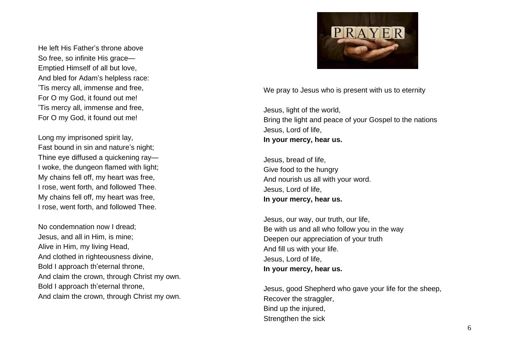He left His Father's throne above So free, so infinite His grace — Emptied Himself of all but love, And bled for Adam ' s helpless race: 'Tis mercy all, immense and free, For O my God, it found out me! 'Tis mercy all, immense and free, For O my God, it found out me!

Long my imprisoned spirit lay, Fast bound in sin and nature's night; Thine eye diffused a quickening ray — I woke, the dungeon flamed with light; My chains fell off, my heart was free , I rose, went forth, and followed Thee. My chains fell off, my heart was free, I rose, went forth, and followed Thee.

No condemnation now I dread; Jesus, and all in Him, is mine; Alive in Him, my living Head, And clothed in righteousness divine, Bold I approach th 'eternal throne, And claim the crown, through Christ my own. Bold I approach th 'eternal throne, And claim the crown, through Christ my own.



We pray to Jesus who is present with us to eternity

Jesus, light of the world, Bring the light and peace of your Gospel to the nations Jesus, Lord of life, **In your mercy, hear us.**

Jesus, bread of life, Give food to the hungry And nourish us all with your word. Jesus, Lord of life, **In your mercy, hear us.**

Jesus, our way, our truth, our life, Be with us and all who follow you in the way Deepen our appreciation of your truth And fill us with your life. Jesus, Lord of life, **In your mercy, hear us.**

Jesus, good Shepherd who gave your life for the sheep, Recover the straggler, Bind up the injured, Strengthen the sick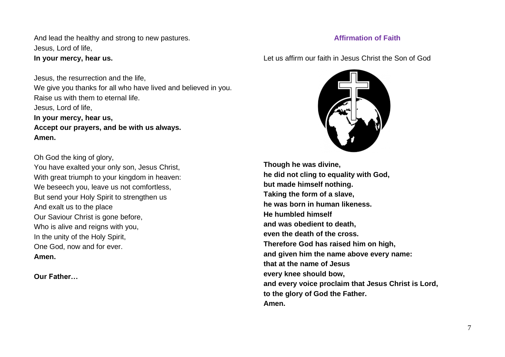And lead the healthy and strong to new pastures. Jesus, Lord of life, **In your mercy, hear us.**

Jesus, the resurrection and the life, We give you thanks for all who have lived and believed in you. Raise us with them to eternal life. Jesus, Lord of life, **In your mercy, hear us, Accept our prayers, and be with us always. Amen.**

Oh God the king of glory, You have exalted your only son, Jesus Christ, With great triumph to your kingdom in heaven: We beseech you, leave us not comfortless, But send your Holy Spirit to strengthen us And exalt us to the place Our Saviour Christ is gone before, Who is alive and reigns with you, In the unity of the Holy Spirit, One God, now and for ever. **Amen.**

**Our Father…**

# **Affirmation of Faith**

Let us affirm our faith in Jesus Christ the Son of God



**Though he was divine, he did not cling to equality with God, but made himself nothing. Taking the form of a slave, he was born in human likeness. He humbled himself and was obedient to death, even the death of the cross. Therefore God has raised him on high, and given him the name above every name: that at the name of Jesus every knee should bow, and every voice proclaim that Jesus Christ is Lord, to the glory of God the Father. Amen.**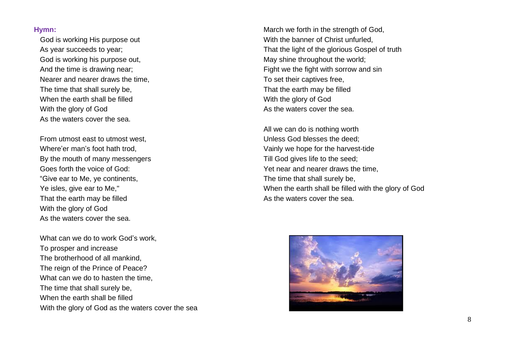### **Hymn:**

 God is working His purpose out As year succeeds to year; God is working his purpose out, And the time is drawing near; Nearer and nearer draws the time, The time that shall surely be, When the earth shall be filled With the glory of God As the waters cover the sea.

From utmost east to utmost west, Where'er man's foot hath trod, By the mouth of many messengers Goes forth the voice of God: "Give ear to Me, ye continents, Ye isles, give ear to Me," That the earth may be filled With the glory of God As the waters cover the sea.

What can we do to work God's work. To prosper and increase The brotherhood of all mankind, The reign of the Prince of Peace? What can we do to hasten the time, The time that shall surely be, When the earth shall be filled With the glory of God as the waters cover the sea

March we forth in the strength of God, With the banner of Christ unfurled. That the light of the glorious Gospel of truth May shine throughout the world; Fight we the fight with sorrow and sin To set their captives free, That the earth may be filled With the glory of God As the waters cover the sea.

All we can do is nothing worth Unless God blesses the deed; Vainly we hope for the harvest-tide Till God gives life to the seed; Yet near and nearer draws the time, The time that shall surely be, When the earth shall be filled with the glory of God As the waters cover the sea.